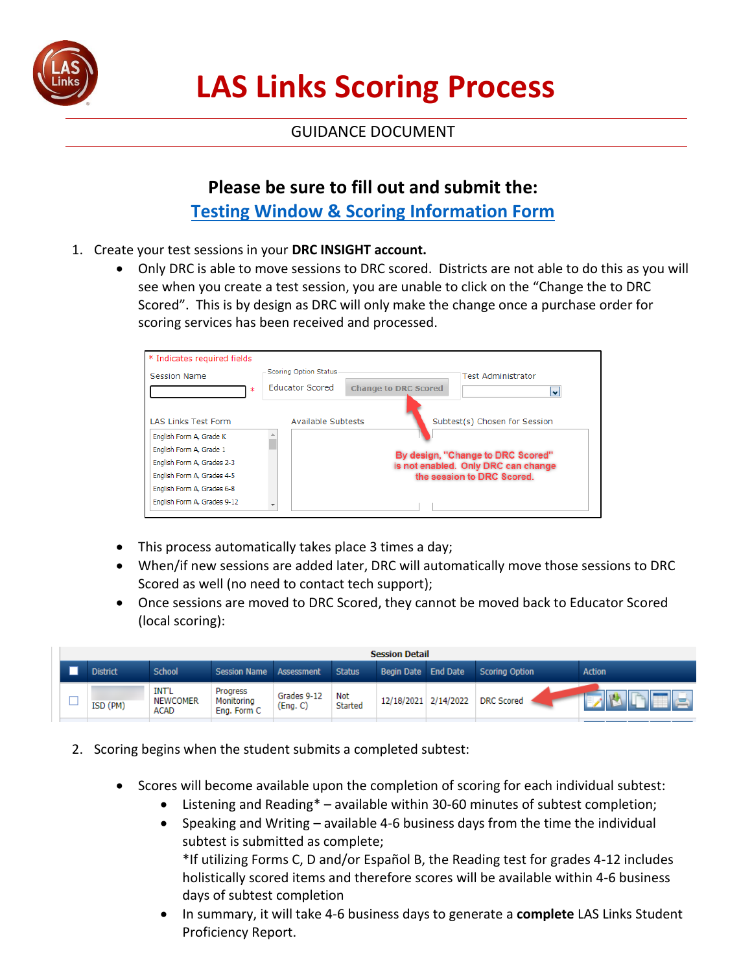

## **LAS Links Scoring Process**

## GUIDANCE DOCUMENT

## **Please be sure to fill out and submit the: [Testing Window & Scoring Information Form](https://docs.google.com/forms/d/e/1FAIpQLSfFmI25C2nCFn1V8n5I1b623Rle2MNHuJjNWjactVqivnOD0w/viewform)**

- 1. Create your test sessions in your **DRC INSIGHT account.**
	- Only DRC is able to move sessions to DRC scored. Districts are not able to do this as you will see when you create a test session, you are unable to click on the "Change the to DRC Scored". This is by design as DRC will only make the change once a purchase order for scoring services has been received and processed.



- This process automatically takes place 3 times a day;
- When/if new sessions are added later, DRC will automatically move those sessions to DRC Scored as well (no need to contact tech support);
- Once sessions are moved to DRC Scored, they cannot be moved back to Educator Scored (local scoring):

|    | <b>Session Detail</b> |                 |                                         |                                       |                         |                |                      |  |                       |               |  |
|----|-----------------------|-----------------|-----------------------------------------|---------------------------------------|-------------------------|----------------|----------------------|--|-----------------------|---------------|--|
|    |                       | <b>District</b> | <b>School</b>                           | <b>Session Name</b>                   | Assessment              | <b>Status</b>  | Begin Date End Date  |  | <b>Scoring Option</b> | <b>Action</b> |  |
| __ |                       | ISD (PM)        | <b>INT'L</b><br><b>NEWCOMER</b><br>ACAD | Progress<br>Monitoring<br>Eng. Form C | Grades 9-12<br>(Eng. C) | Not<br>Started | 12/18/2021 2/14/2022 |  | <b>DRC</b> Scored     |               |  |

- 2. Scoring begins when the student submits a completed subtest:
	- Scores will become available upon the completion of scoring for each individual subtest:
		- Listening and Reading\* available within 30-60 minutes of subtest completion;
		- Speaking and Writing available 4-6 business days from the time the individual subtest is submitted as complete; \*If utilizing Forms C, D and/or Español B, the Reading test for grades 4-12 includes holistically scored items and therefore scores will be available within 4-6 business days of subtest completion
		- In summary, it will take 4-6 business days to generate a **complete** LAS Links Student Proficiency Report.